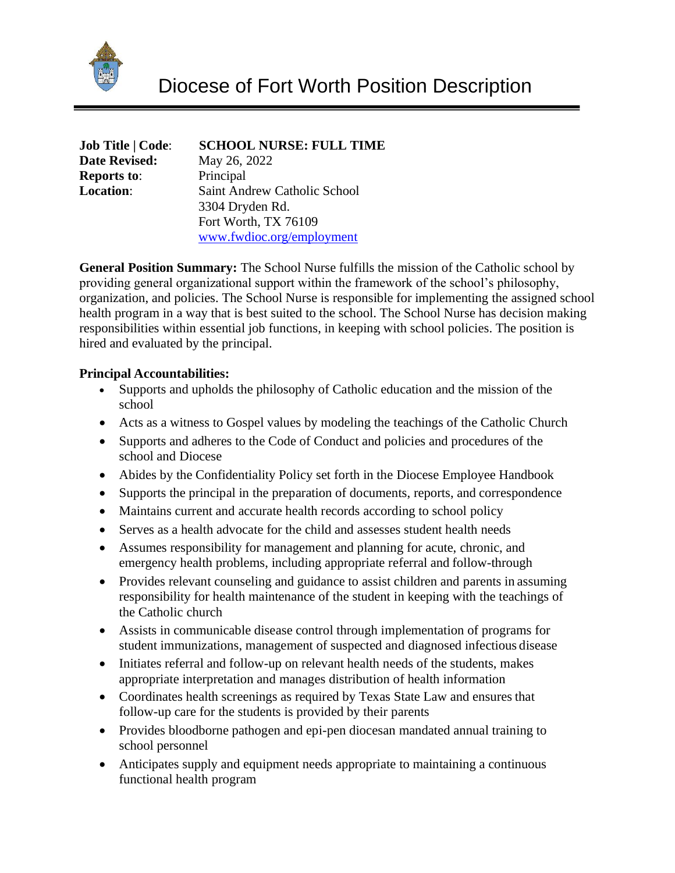

| <b>Job Title   Code:</b> |
|--------------------------|
| <b>Date Revised:</b>     |
| <b>Reports to:</b>       |
| <b>Location:</b>         |

## $SCHOOL NURSE: FULL TIME$

**Date Revised:** May 26, 2022 **Principal Saint Andrew Catholic School** 3304 Dryden Rd. Fort Worth, TX 76109 [www.fwdioc.org/employment](http://www.fwdioc.org/employment)

**General Position Summary:** The School Nurse fulfills the mission of the Catholic school by providing general organizational support within the framework of the school's philosophy, organization, and policies. The School Nurse is responsible for implementing the assigned school health program in a way that is best suited to the school. The School Nurse has decision making responsibilities within essential job functions, in keeping with school policies. The position is hired and evaluated by the principal.

# **Principal Accountabilities:**

- Supports and upholds the philosophy of Catholic education and the mission of the school
- Acts as a witness to Gospel values by modeling the teachings of the Catholic Church
- Supports and adheres to the Code of Conduct and policies and procedures of the school and Diocese
- Abides by the Confidentiality Policy set forth in the Diocese Employee Handbook
- Supports the principal in the preparation of documents, reports, and correspondence
- Maintains current and accurate health records according to school policy
- Serves as a health advocate for the child and assesses student health needs
- Assumes responsibility for management and planning for acute, chronic, and emergency health problems, including appropriate referral and follow-through
- Provides relevant counseling and guidance to assist children and parents in assuming responsibility for health maintenance of the student in keeping with the teachings of the Catholic church
- Assists in communicable disease control through implementation of programs for student immunizations, management of suspected and diagnosed infectious disease
- Initiates referral and follow-up on relevant health needs of the students, makes appropriate interpretation and manages distribution of health information
- Coordinates health screenings as required by Texas State Law and ensures that follow-up care for the students is provided by their parents
- Provides bloodborne pathogen and epi-pen diocesan mandated annual training to school personnel
- Anticipates supply and equipment needs appropriate to maintaining a continuous functional health program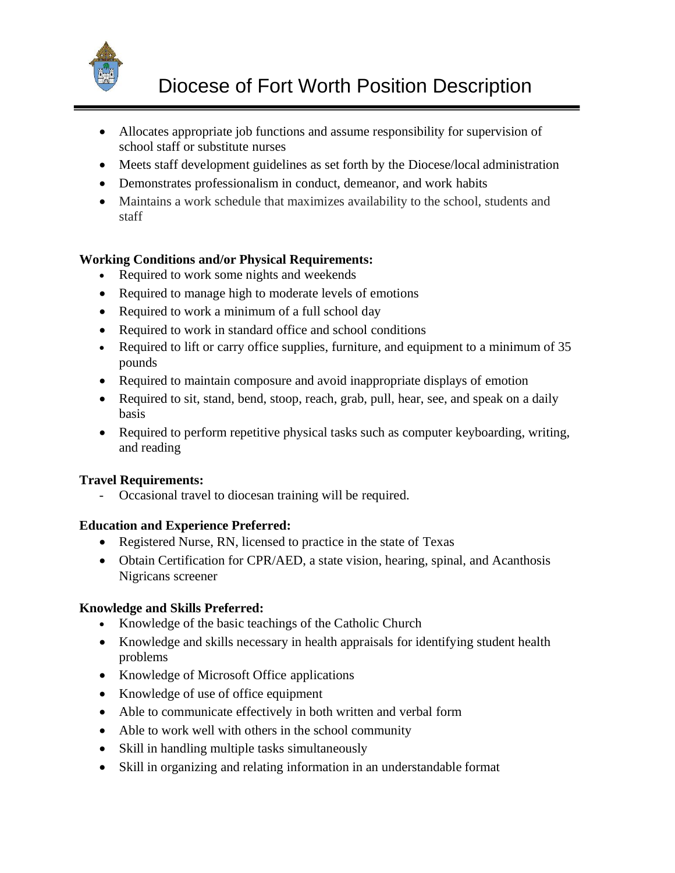

- Allocates appropriate job functions and assume responsibility for supervision of school staff or substitute nurses
- Meets staff development guidelines as set forth by the Diocese/local administration
- Demonstrates professionalism in conduct, demeanor, and work habits
- Maintains a work schedule that maximizes availability to the school, students and staff

# **Working Conditions and/or Physical Requirements:**

- Required to work some nights and weekends
- Required to manage high to moderate levels of emotions
- Required to work a minimum of a full school day
- Required to work in standard office and school conditions
- Required to lift or carry office supplies, furniture, and equipment to a minimum of 35 pounds
- Required to maintain composure and avoid inappropriate displays of emotion
- Required to sit, stand, bend, stoop, reach, grab, pull, hear, see, and speak on a daily basis
- Required to perform repetitive physical tasks such as computer keyboarding, writing, and reading

#### **Travel Requirements:**

- Occasional travel to diocesan training will be required.

#### **Education and Experience Preferred:**

- Registered Nurse, RN, licensed to practice in the state of Texas
- Obtain Certification for CPR/AED, a state vision, hearing, spinal, and Acanthosis Nigricans screener

#### **Knowledge and Skills Preferred:**

- Knowledge of the basic teachings of the Catholic Church
- Knowledge and skills necessary in health appraisals for identifying student health problems
- Knowledge of Microsoft Office applications
- Knowledge of use of office equipment
- Able to communicate effectively in both written and verbal form
- Able to work well with others in the school community
- Skill in handling multiple tasks simultaneously
- Skill in organizing and relating information in an understandable format